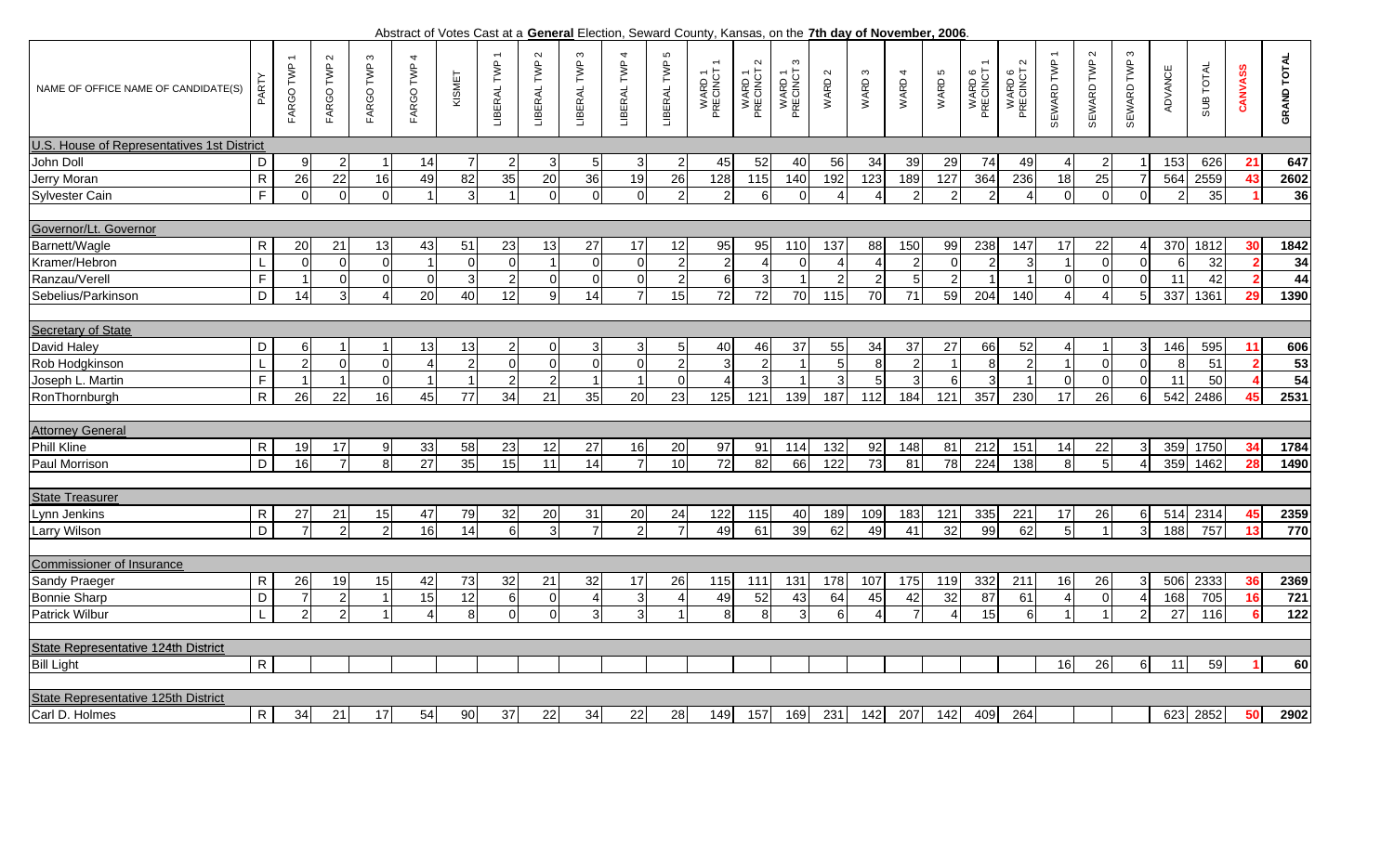. Abstract of Votes Cast at a **General** Election, Seward County, Kansas, on the **7th day of November, 2006**

| NAME OF OFFICE NAME OF CANDIDATE(S)        | PART           | FARGO TWP     | $\sim$<br>FARGO TWP | S<br>FARGO TWP         | FARGO TWP 4     | KISMET         | LIBERAL TWP      | LIBERAL TWP 2 | LIBERAL TWP 3 | LIBERAL TWP 4  | LIBERAL TWP 5  | WARD 1<br>PRECINCT | $\sim$<br>WARD 1<br>PRECINCT : | WARD1<br>PRECINCT3 | WARD 2         | WARD <sub>3</sub> | WARD 4         | WARD 5         | WARD 6<br>PRECINCT | $\sim$<br>WARD 6<br>PRECINCT : | SEWARD TWP             | $\sim$<br>SEWARD TWP | S<br>SEWARD TWP | <b>ADVANCE</b> | SUB TOTAL | CANVASS | <b>GRAND TOTAL</b> |
|--------------------------------------------|----------------|---------------|---------------------|------------------------|-----------------|----------------|------------------|---------------|---------------|----------------|----------------|--------------------|--------------------------------|--------------------|----------------|-------------------|----------------|----------------|--------------------|--------------------------------|------------------------|----------------------|-----------------|----------------|-----------|---------|--------------------|
| U.S. House of Representatives 1st District |                |               |                     |                        |                 |                |                  |               |               |                |                |                    |                                |                    |                |                   |                |                |                    |                                |                        |                      |                 |                |           |         |                    |
| John Doll                                  | D              |               | $\overline{2}$      | -1                     | 14              |                | 2                | 3             |               | $\mathbf{3}$   |                | 45                 | 52                             | 40                 | 56             | 34                | 39             | 29             | 74                 | 49                             |                        | $\overline{2}$       |                 | 153            | 626       | 21      | 647                |
| Jerry Moran                                | ${\sf R}$      | 26            | 22                  | 16                     | 49              | 82             | 35               | 20            | 36            | 19             | 26             | 128                | 115                            | 140                | 192            | 123               | 189            | 127            | 364                | 236                            | 18                     | 25                   |                 | 564            | 2559      | 43      | 2602               |
| Sylvester Cain                             | $\overline{F}$ | $\Omega$      | $\mathbf 0$         | $\Omega$               | $\overline{1}$  | 3              |                  | $\Omega$      | $\Omega$      | $\Omega$       | 2              | $\overline{2}$     | 6                              | ∩                  | $\Delta$       | $\Delta$          | $\overline{2}$ | $\mathcal{P}$  | $\overline{2}$     | $\boldsymbol{\varDelta}$       | $\Omega$               | $\mathbf 0$          |                 | 2              | 35        |         | 36                 |
|                                            |                |               |                     |                        |                 |                |                  |               |               |                |                |                    |                                |                    |                |                   |                |                |                    |                                |                        |                      |                 |                |           |         |                    |
| Governor/Lt. Governor                      |                |               |                     |                        |                 |                |                  |               |               |                |                |                    |                                |                    |                |                   |                |                |                    |                                |                        |                      |                 |                |           |         |                    |
| Barnett/Wagle                              | $\mathsf{R}$   | 20            | 21                  | 13                     | 43              | 51             | 23               | 13            | 27            | 17             | 12             | 95                 | 95                             | 110                | 137            | 88                | 150            | 99             | 238                | 147                            | 17                     | 22                   |                 | 370            | 1812      | 30      | 1842               |
| Kramer/Hebron                              |                |               | $\mathbf 0$         | $\mathbf 0$            | $\overline{1}$  | $\mathbf 0$    | $\Omega$         | $\mathbf{1}$  |               | $\Omega$       |                | $\overline{2}$     |                                |                    |                |                   |                | $\Omega$       |                    | 3                              |                        | $\mathbf 0$          |                 | 6              | 32        |         | 34                 |
| Ranzau/Verell                              | F              |               | $\overline{0}$      | $\mathbf 0$            | $\mathbf 0$     | $\mathbf{3}$   | $\overline{2}$   | $\mathbf 0$   | $\Omega$      | $\overline{O}$ | $\overline{2}$ | 6                  | 3                              |                    | $\overline{2}$ | $\overline{2}$    | 5              | $\overline{2}$ | $\overline{1}$     |                                | $\Omega$               | $\mathbf 0$          |                 | 11             | 42        |         | 44                 |
| Sebelius/Parkinson                         | D              | 14            | $\mathbf{3}$        | $\boldsymbol{\Lambda}$ | 20              | 40             | 12               | 9             | 14            | $\overline{7}$ | 15             | 72                 | 72                             | 70                 | 115            | 70                | 71             | 59             | 204                | 140                            | $\boldsymbol{\Delta}$  | $\overline{4}$       |                 | 337            | 1361      | 29      | 1390               |
|                                            |                |               |                     |                        |                 |                |                  |               |               |                |                |                    |                                |                    |                |                   |                |                |                    |                                |                        |                      |                 |                |           |         |                    |
| <b>Secretary of State</b>                  |                |               |                     |                        |                 |                |                  |               |               |                |                |                    |                                |                    |                |                   |                |                |                    |                                |                        |                      |                 |                |           |         |                    |
| David Haley                                | D              | ี             |                     |                        | 13              | 13             | $\mathbf{2}$     | 0             |               | 3 <sub>l</sub> |                | 40                 | 46                             | 37                 | 55             | 34                | 37             | 27             | 66                 | 52                             |                        |                      |                 | 146            | 595       | 11      | 606                |
| Rob Hodgkinson                             | $\mathsf{L}$   | 2             | $\mathbf 0$         | $\Omega$               | $\overline{4}$  | $\overline{2}$ | $\Omega$         | $\Omega$      | $\Omega$      | $\overline{0}$ |                | 3                  | $\overline{2}$                 |                    | 5              | $\,8\,$           | $\overline{c}$ |                | 8 <sup>1</sup>     | $\overline{2}$                 |                        | $\mathbf 0$          |                 | 8              | 51        |         | 53                 |
| Joseph L. Martin                           | $\mathsf F$    |               | $\overline{1}$      | $\mathbf 0$            | $\overline{1}$  | $\overline{1}$ | $\overline{2}$   | 2             |               | $\overline{1}$ | <sup>0</sup>   | $\overline{4}$     | 3                              |                    | 3              | 5 <sub>l</sub>    | 3              | 6              | $\overline{3}$     |                                | $\Omega$               | $\mathbf 0$          | $\Omega$        | 11             | 50        |         | 54                 |
| RonThornburgh                              | $\mathsf{R}$   | 26            | 22                  | 16                     | 45              | 77             | 34               | 21            | 35            | 20             | 23             | 125                | 121                            | 139                | 187            | 112               | 184            | 121            | 357                | 230                            | 17                     | 26                   |                 | 542            | 2486      | 45      | 2531               |
|                                            |                |               |                     |                        |                 |                |                  |               |               |                |                |                    |                                |                    |                |                   |                |                |                    |                                |                        |                      |                 |                |           |         |                    |
| <b>Attorney General</b>                    |                |               |                     |                        |                 |                |                  |               |               |                |                |                    |                                |                    |                |                   |                |                |                    |                                |                        |                      |                 |                |           |         |                    |
| <b>Phill Kline</b>                         | R              | 19            | 17                  | 9                      | 33              | 58             | 23               | 12            | 27            | 16             | 20             | 97                 | 91                             | 114                | 132            | 92                | 148            | 81             | 212                | 151                            | 14                     | 22                   |                 | 359            | 1750      | 34      | 1784               |
| Paul Morrison                              | D              | 16            | $\overline{7}$      | 8                      | $\overline{27}$ | 35             | 15               | 11            | 14            | $\overline{7}$ | 10             | 72                 | 82                             | 66                 | 122            | 73                | 81             | 78             | 224                | 138                            | 8                      | $\overline{5}$       |                 | 359            | 1462      | 28      | 1490               |
|                                            |                |               |                     |                        |                 |                |                  |               |               |                |                |                    |                                |                    |                |                   |                |                |                    |                                |                        |                      |                 |                |           |         |                    |
| <b>State Treasurer</b>                     |                |               |                     |                        |                 |                |                  |               |               |                |                |                    |                                |                    |                |                   |                |                |                    |                                |                        |                      |                 |                |           |         |                    |
| Lynn Jenkins                               | $\mathsf{R}$   | 27            | 21                  | 15                     | 47              | 79             | 32               | 20            | 31            | 20             | 24             | 122                | 115                            | 40                 | 189            | 109               | 183            | 121            | 335                | 221                            | 17                     | 26                   |                 | 514            | 2314      | 45      | 2359               |
| Larry Wilson                               | $\overline{D}$ |               | $\overline{2}$      | $\overline{c}$         | 16              | 14             | $6 \mid$         | 3             |               | $\overline{2}$ |                | 49                 | 61                             | 39                 | 62             | 49                | 41             | 32             | 99                 | 62                             | $5 \mid$               |                      |                 | 188            | 757       | 13      | 770                |
|                                            |                |               |                     |                        |                 |                |                  |               |               |                |                |                    |                                |                    |                |                   |                |                |                    |                                |                        |                      |                 |                |           |         |                    |
| <b>Commissioner of Insurance</b>           |                |               |                     |                        |                 |                |                  |               |               |                |                |                    |                                |                    |                |                   |                |                |                    |                                |                        |                      |                 |                |           |         |                    |
| Sandy Praeger                              | $\mathsf{R}$   | 26            | 19                  | 15                     | 42              | 73             | 32               | 21            | 32            | 17             | 26             | 115                | 111                            | 131                | 178            | 107               | 175            | 119            | 332                | 211                            | 16                     | 26                   |                 | 506            | 2333      | 36      | 2369               |
| <b>Bonnie Sharp</b>                        | D              |               | $\overline{c}$      | $\overline{1}$         | 15              | 12             | $6 \overline{6}$ | $\Omega$      |               | 3              |                | 49                 | 52                             | 43                 | 64             | 45                | 42             | 32             | 87                 | 61                             | $\boldsymbol{\Lambda}$ | $\mathbf 0$          |                 | 168            | 705       | 16      | $\overline{721}$   |
| <b>Patrick Wilbur</b>                      | $\mathbf{L}$   | $\mathcal{P}$ | $\overline{2}$      |                        | $\Delta$        | 8              | $\Omega$         | $\Omega$      | 3I            | $\overline{3}$ |                | 8                  | $\mathsf{R}$                   | $\mathcal{R}$      | $6\phantom{a}$ |                   | $\overline{7}$ |                | 15                 | $6\phantom{a}$                 |                        |                      | $\overline{2}$  | 27             | 116       |         | 122                |
|                                            |                |               |                     |                        |                 |                |                  |               |               |                |                |                    |                                |                    |                |                   |                |                |                    |                                |                        |                      |                 |                |           |         |                    |
| State Representative 124th District        |                |               |                     |                        |                 |                |                  |               |               |                |                |                    |                                |                    |                |                   |                |                |                    |                                |                        |                      |                 |                |           |         |                    |
| <b>Bill Light</b>                          | $\mathsf{R}$   |               |                     |                        |                 |                |                  |               |               |                |                |                    |                                |                    |                |                   |                |                |                    |                                | 16                     | 26                   | 6I              | 11             | 59        |         | 60                 |
|                                            |                |               |                     |                        |                 |                |                  |               |               |                |                |                    |                                |                    |                |                   |                |                |                    |                                |                        |                      |                 |                |           |         |                    |
| State Representative 125th District        |                |               |                     |                        |                 |                |                  |               |               |                |                |                    |                                |                    |                |                   |                |                |                    |                                |                        |                      |                 |                |           |         |                    |
| Carl D. Holmes                             | $\mathsf{R}$   | 34            | 21                  | 17                     | 54              | 90             | 37               | 22            | 34            | 22             | 28             | 149                | 157                            | 169                | 231            | 142               | 207            | 142            | 409                | 264                            |                        |                      |                 | 623            | 2852      | 50      | 2902               |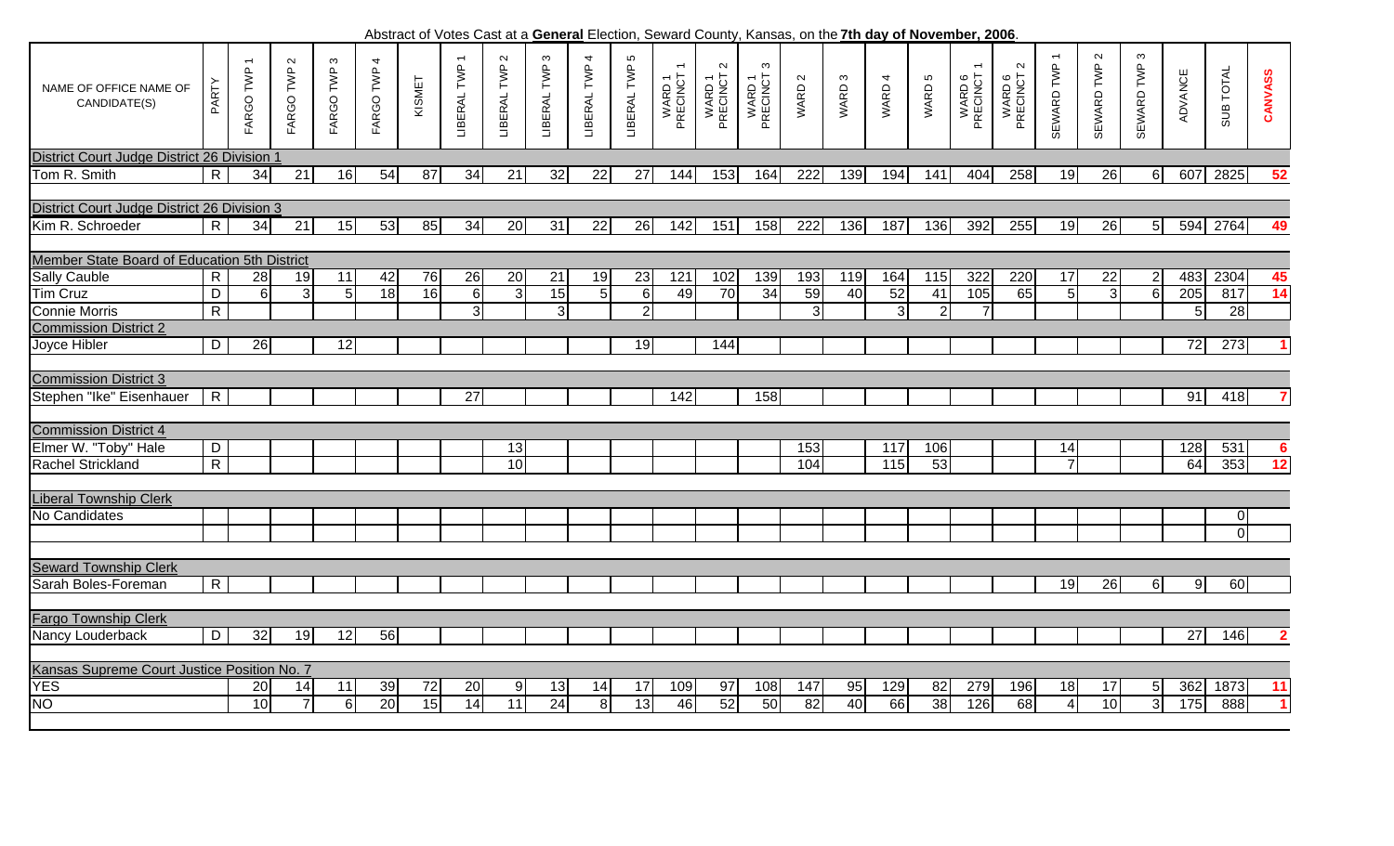Ю  $\overline{ }$  $\sim$ SEWARD TWP 3  $\boldsymbol{\sim}$ LIBERAL TWP 3  $\overline{\mathcal{A}}$ SEWARD TWP 2 SEWARD TWP 3  $\sim$ ო  $\overline{\mathbf{r}}$ LIBERAL TWP 2 LIBERAL TWP 3 LIBERAL TWP 4 LI RAL TWP 5 SEWARD TWP 1 FARGO TWP 1 LIBERAL TWP 1 WARD 6<br>PRECINCT 1 FARGO TWP 2 FARGO TWP 3 FARGO TWP 4 FARGO TWP 1 LIBERAL TWP  $\sim$  $\mathfrak{S}$  $\sim$ SEWARD TWP LIBERAL TWP LIBERAL TWP LIBERAL TWP  $\overline{\phantom{m}}$ SEWARD TWP PRECINCT 2 PRECINCT 3 PRECINCT 2 FARGO TWP FARGO TWP FARGO TWP PRECINCT 1 PRECINCT 1 SUB TOTAL SUB TOTAL WARD 1<br>PRECINCT ADVANCE WARD 1<br>PRECINCT WARD 1<br>PRECINCT WARD 6<br>PRECINCT CANVASS **CANVASS** KISMET  $\boldsymbol{\infty}$  $\overline{4}$  $\mathfrak{g}$ ADVANCE WARD 1 WARD 1 WARD 1  $\sim$ WARD 6 WARD 6 PARTY WARD 2 WARD 3 WARD 4 WARD 5 WARD WARD WARD **WARD** NAME OF OFFICE NAME OFCANDIDATE(S) District Court Judge District 26 Division 1 RTom R. Smith 34 21 16 54 87 34 21 32 22 27 144 153 164 222 139 194 141 404 258 19 26 6 607 2825 **52** District Court Judge District 26 Division 3 Kim R. Schroeder R 34 21 15 53 85 34 20 31 22 26 142 151 158 222 136 187 136 392 255 19 26 5 594 2764 **49** Member State Board of Education 5th District Sally Cauble | R | 28| 19| 11| 42| 76| 26| 20| 21| 19| 23| 121| 102| 139| 193| 119| 164| 115| 322| 220| 17| 22| 2| 483| 2304| **45** Tim Cruz $\overline{D}$  6 3 5 18 16 6 3 15 5 6 49 70 34 59 40 52 41 105 65 5 3 6 205 817 **14** RConnie MorrisR | | | | | 3 | 3 | 2 | | | 3 | 3 | 2 7 | | | 5 |28 Commission District 2Joyce Hibler D 26 12 19 144 72 273 **1** Commission District 3Stephen "Ike" Eisenhauer R 27 142 158 91 418 **7** Commission District 4Elmer W. "Toby" Hale D 13 153 117 106 14 128 531 **6** Rachel Strickland RR | | | | | | 10 | | | | | | 104 | 115 | 53 | | 7 | | 64 |353 | **12** Liberal Township Clerk No Candidates 00Seward Township Clerk Sarah Boles-Foreman R RI III III III III III III III III 19126 61 91 60 Fargo Township Clerk Nancy Louderback D 32 19 12 56 27 146 **2** Kansas Supreme Court Justice Position No. 7 YES 20 14 11 39 72 20 9 13 14 17 109 97 108 147 95 129 82 279 196 18 17 5 362 1873 **11** NO0 | 10| 7| 6| 20| 15| 14| 11| 24| 8| 13| 46| 52| 50| 82| 40| 66| 38| 126| 68| 4| 10| 3| 175| 888| 1

Abstract of Votes Cast at a **General** Election, Seward County, Kansas, on the **7th day of November, 2006**.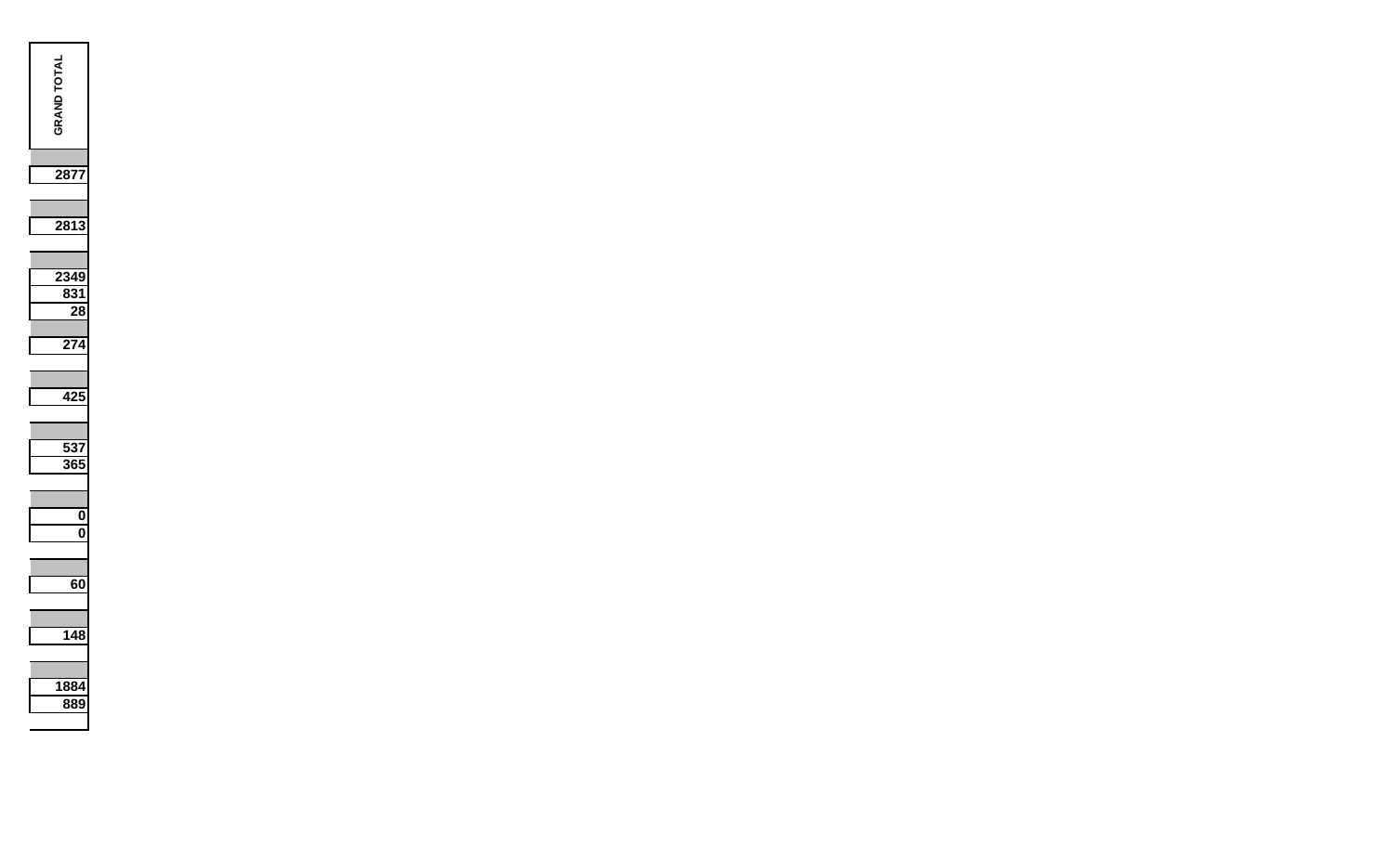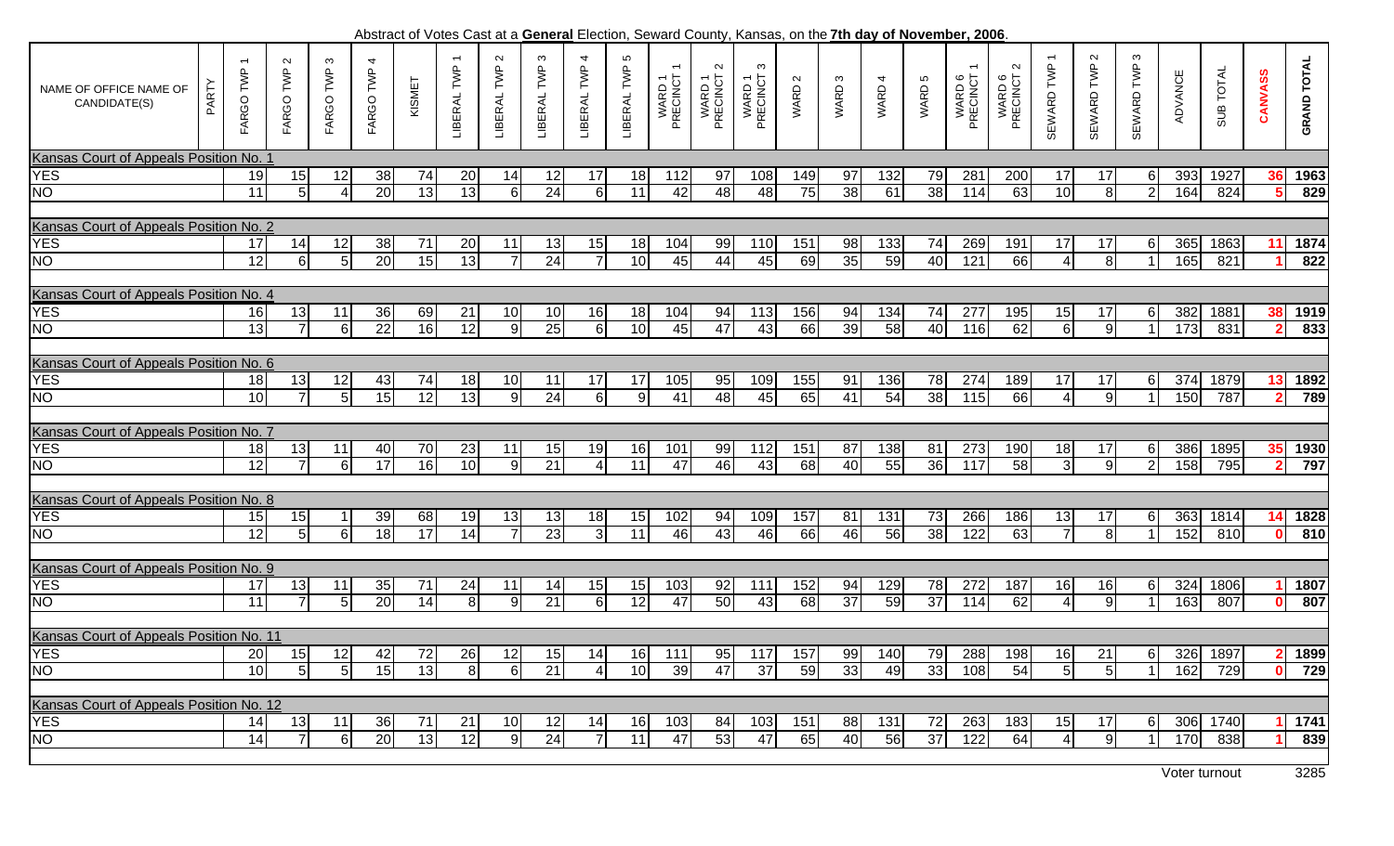Abstract of Votes Cast at a **General** Election, Seward County, Kansas, on the **7th day of November, 2006**

|                                         |       |                                       |                     |                             |                 |        |                             |                       |                         |                       |                  |                    | Abstract of Voles Cast at a General Liection, Jeward County, Kansas, On the Full day of November, 2000. |                         |                 |                   |        |                 |                    |                                |                  |                      |                        |         |           |              |                    |
|-----------------------------------------|-------|---------------------------------------|---------------------|-----------------------------|-----------------|--------|-----------------------------|-----------------------|-------------------------|-----------------------|------------------|--------------------|---------------------------------------------------------------------------------------------------------|-------------------------|-----------------|-------------------|--------|-----------------|--------------------|--------------------------------|------------------|----------------------|------------------------|---------|-----------|--------------|--------------------|
| NAME OF OFFICE NAME OF<br>CANDIDATE(S)  | PARTY | $\overline{\phantom{0}}$<br>FARGO TWP | $\sim$<br>FARGO TWP | $\mathfrak{g}$<br>FARGO TWP | 4<br>FARGO TWP  | KISMET | $\leftarrow$<br>LIBERAL TWP | $\sim$<br>LIBERAL TWP | $\infty$<br>LIBERAL TWP | 4<br>LIBERAL TWP      | 5<br>LIBERAL TWP | WARD 1<br>PRECINCT | $\sim$<br>WARD 1<br>PRECINCT :                                                                          | ო<br>WARD 1<br>PRECINCT | WARD 2          | WARD <sub>3</sub> | WARD 4 | WARD 5          | WARD 6<br>PRECINCT | $\sim$<br>WARD 6<br>PRECINCT 2 | SEWARD TWP       | $\sim$<br>SEWARD TWP | $\infty$<br>SEWARD TWP | ADVANCE | SUB TOTAL | CANVASS      | <b>GRAND TOTAL</b> |
| Kansas Court of Appeals Position No. 1  |       |                                       |                     |                             |                 |        |                             |                       |                         |                       |                  |                    |                                                                                                         |                         |                 |                   |        |                 |                    |                                |                  |                      |                        |         |           |              |                    |
| <b>YES</b>                              |       | 19                                    | 15                  | 12                          | 38              | 74     | 20                          | 14                    | 12                      | 17                    | 18               | 112                | 97                                                                                                      | 108                     | 149             | 97                | 132    | 79              | 281                | 200                            | 17               | 17                   | $6 \mid$               | 393     | 1927      | 36           | 1963               |
| NO                                      |       | $\overline{11}$                       | 5                   | Δ                           | $\overline{20}$ | 13     | 13                          | <sup>6</sup>          | 24                      | 6                     | $\overline{11}$  | 42                 | 48                                                                                                      | 48                      | 75              | 38                | 61     | $\overline{38}$ | 114                | 63                             | 10               | 8 <sup>1</sup>       | $\overline{2}$         | 164     | 824       |              | 829                |
|                                         |       |                                       |                     |                             |                 |        |                             |                       |                         |                       |                  |                    |                                                                                                         |                         |                 |                   |        |                 |                    |                                |                  |                      |                        |         |           |              |                    |
| Kansas Court of Appeals Position No. 2  |       |                                       |                     |                             |                 |        |                             |                       |                         |                       |                  |                    |                                                                                                         |                         |                 |                   |        |                 |                    |                                |                  |                      |                        |         |           |              |                    |
| <b>YES</b>                              |       | 17                                    | 14                  |                             | 38              | 71     | 20                          |                       |                         |                       |                  |                    | 99                                                                                                      | 110                     | 151             |                   | 133    |                 | 269                | 191                            | 17               | 17                   |                        | 365     | 1863      | 11           | 1874               |
|                                         |       |                                       |                     | 12                          |                 |        |                             | 11                    | 13                      | 15<br>$\overline{7}$  | 18               | 104                |                                                                                                         |                         |                 | 98                |        | 74              |                    |                                |                  |                      | $6 \mid$               |         |           |              |                    |
| NO                                      |       | 12                                    | 6                   | 5                           | 20              | 15     | 13                          |                       | 24                      |                       | 10               | 45                 | 44                                                                                                      | 45                      | 69              | 35                | 59     | 40              | 121                | 66                             | 4                | 8 <sup>1</sup>       |                        | 165     | 821       |              | 822                |
|                                         |       |                                       |                     |                             |                 |        |                             |                       |                         |                       |                  |                    |                                                                                                         |                         |                 |                   |        |                 |                    |                                |                  |                      |                        |         |           |              |                    |
| Kansas Court of Appeals Position No. 4  |       |                                       |                     |                             |                 |        |                             |                       |                         |                       |                  |                    |                                                                                                         |                         |                 |                   |        |                 |                    |                                |                  |                      |                        |         |           |              |                    |
| <b>YES</b>                              |       | 16                                    | 13                  | 11                          | 36              | 69     | 21                          | 10                    | 10                      | 16                    | 18               | 104                | 94                                                                                                      | 113                     | 156             | 94                | 134    | 74              | 277                | 195                            | 15               | 17                   | $6 \mid$               | 382     | 1881      | 38           | 1919               |
| NO                                      |       | 13                                    | $\overline{7}$      | 6                           | $\overline{22}$ | 16     | 12                          | 9                     | 25                      | $\overline{6}$        | 10               | 45                 | 47                                                                                                      | 43                      | 66              | 39                | 58     | 40              | 116                | 62                             | $6 \overline{6}$ | 9 <sup>1</sup>       | $\blacktriangleleft$   | 173     | 831       |              | 833                |
|                                         |       |                                       |                     |                             |                 |        |                             |                       |                         |                       |                  |                    |                                                                                                         |                         |                 |                   |        |                 |                    |                                |                  |                      |                        |         |           |              |                    |
| Kansas Court of Appeals Position No. 6  |       |                                       |                     |                             |                 |        |                             |                       |                         |                       |                  |                    |                                                                                                         |                         |                 |                   |        |                 |                    |                                |                  |                      |                        |         |           |              |                    |
| <b>YES</b>                              |       | 18                                    | 13                  | 12                          | 43              | 74     | 18                          | 10                    | 11                      | 17                    | 17               | 105                | 95                                                                                                      | 109                     | 155             | 91                | 136    | 78              | 274                | 189                            | 17               | 17                   | -61                    | 374     | 1879      | 13           | 1892               |
| NO                                      |       | $\overline{10}$                       | $\overline{7}$      | 5 <sup>1</sup>              | 15              | 12     | 13                          | 9                     | $\overline{24}$         | 6                     | 9                | $\overline{41}$    | $\frac{1}{8}$                                                                                           | 45                      | 65              | 41                | 54     | $\overline{38}$ | 115                | 66                             | 4                | 9                    |                        | 150     | 787       |              | 789                |
|                                         |       |                                       |                     |                             |                 |        |                             |                       |                         |                       |                  |                    |                                                                                                         |                         |                 |                   |        |                 |                    |                                |                  |                      |                        |         |           |              |                    |
| Kansas Court of Appeals Position No. 7  |       |                                       |                     |                             |                 |        |                             |                       |                         |                       |                  |                    |                                                                                                         |                         |                 |                   |        |                 |                    |                                |                  |                      |                        |         |           |              |                    |
| <b>YES</b>                              |       | 18                                    | 13                  | 11                          | 40              | 70     | 23                          | 11                    | 15                      | 19                    | 16               | 101                | 99                                                                                                      | 112                     | 151             | 87                | 138    | 81              | 273                | 190                            | 18               | 17                   | $6 \mid$               | 386     | 1895      | 35           | 1930               |
| NO                                      |       | $\overline{12}$                       | $\overline{7}$      | 6                           | 17              | 16     | 10                          | 9                     | 21                      | $\overline{4}$        | 11               | 47                 | 46                                                                                                      | 43                      | $\overline{68}$ | 40                | 55     | $\overline{36}$ | 117                | 58                             | $\mathbf{3}$     | 9                    | $\overline{2}$         | 158     | 795       |              | 797                |
|                                         |       |                                       |                     |                             |                 |        |                             |                       |                         |                       |                  |                    |                                                                                                         |                         |                 |                   |        |                 |                    |                                |                  |                      |                        |         |           |              |                    |
|                                         |       |                                       |                     |                             |                 |        |                             |                       |                         |                       |                  |                    |                                                                                                         |                         |                 |                   |        |                 |                    |                                |                  |                      |                        |         |           |              |                    |
| Kansas Court of Appeals Position No. 8  |       |                                       |                     |                             |                 |        |                             |                       |                         |                       |                  |                    |                                                                                                         |                         |                 |                   |        |                 |                    |                                |                  |                      |                        |         |           |              |                    |
| <b>YES</b>                              |       | 15                                    | 15                  |                             | 39              | 68     | 19                          | 13                    | 13                      | 18                    | 15               | 102                | 94                                                                                                      | 109                     | 157             | 81                | 131    | 73              | 266                | 186                            | 13               | 17                   | $6 \mid$               | 363     | 1814      | 14           | 1828               |
| NO                                      |       | 12                                    | 5                   | 6                           | $\overline{18}$ | 17     | 14                          |                       | 23                      | 3                     | 11               | 46                 | 43                                                                                                      | 46                      | 66              | 46                | 56     | 38              | 122                | 63                             | $\overline{7}$   | 8 <sup>1</sup>       |                        | 152     | 810       |              | 810                |
|                                         |       |                                       |                     |                             |                 |        |                             |                       |                         |                       |                  |                    |                                                                                                         |                         |                 |                   |        |                 |                    |                                |                  |                      |                        |         |           |              |                    |
| Kansas Court of Appeals Position No. 9  |       |                                       |                     |                             |                 |        |                             |                       |                         |                       |                  |                    |                                                                                                         |                         |                 |                   |        |                 |                    |                                |                  |                      |                        |         |           |              |                    |
| <b>YES</b>                              |       | 17                                    | 13                  | 11                          | 35              | 71     | 24                          | 11                    | 14                      | 15                    | 15               | 103                | 92                                                                                                      | 111                     | 152             | 94                | 129    | 78              | 272                | 187                            | 16               | 16                   | $6 \mid$               | 324     | 1806      |              | 1807               |
| NO                                      |       | $\overline{11}$                       | $\overline{7}$      | 5 <sub>l</sub>              | 20              | 14     | $\overline{8}$              | 9                     | 21                      | $6\phantom{1}6$       | 12               | 47                 | 50                                                                                                      | 43                      | 68              | 37                | 59     | 37              | 114                | 62                             | 4                | 9                    |                        | 163     | 807       |              | 807                |
|                                         |       |                                       |                     |                             |                 |        |                             |                       |                         |                       |                  |                    |                                                                                                         |                         |                 |                   |        |                 |                    |                                |                  |                      |                        |         |           |              |                    |
| Kansas Court of Appeals Position No. 11 |       |                                       |                     |                             |                 |        |                             |                       |                         |                       |                  |                    |                                                                                                         |                         |                 |                   |        |                 |                    |                                |                  |                      |                        |         |           |              |                    |
| <b>YES</b>                              |       | 20                                    | 15                  | 12                          | 42              | 72     | 26                          | 12                    | 15                      | 14                    | 16               | 111                | 95                                                                                                      | $117$                   | 157             | 99                | 140    | 79              | 288                | 198                            | 16               | 21                   | $6 \mid$               | 326     | 1897      | $\mathbf{P}$ | 1899               |
| NO                                      |       | 10                                    | 5                   | 5 <sub>l</sub>              | 15              | 13     | 8 <sup>1</sup>              | <sup>6</sup>          | $\overline{21}$         | $\boldsymbol{\Delta}$ | 10               | 39                 | 47                                                                                                      | 37                      | 59              | 33                | 49     | 33              | 108                | 54                             | 5 <sub>l</sub>   | 5 <sup>1</sup>       |                        | 162     | 729       |              | $\overline{729}$   |
|                                         |       |                                       |                     |                             |                 |        |                             |                       |                         |                       |                  |                    |                                                                                                         |                         |                 |                   |        |                 |                    |                                |                  |                      |                        |         |           |              |                    |
| Kansas Court of Appeals Position No. 12 |       |                                       |                     |                             |                 |        |                             |                       |                         |                       |                  |                    |                                                                                                         |                         |                 |                   |        |                 |                    |                                |                  |                      |                        |         |           |              |                    |
| <b>YES</b>                              |       | 14                                    | 13                  | 11                          | 36              | 71     | 21                          | 10                    | 12                      | 14                    | 16               | 103                | 84                                                                                                      | 103                     | 151             | 88                | 131    | 72              | 263                | 183                            | 15               | 17                   | $6 \mid$               |         | 306 1740  |              | 1741               |
| NO                                      |       | 14                                    | $\overline{7}$      | 6                           | 20              | 13     | 12                          | -91                   | 24                      | $\overline{7}$        | 11               | 47                 | 53                                                                                                      | 47                      | 65              | 40                | 56     | 37              | 122                | 64                             | 4                | 9                    |                        | 170     | 838       |              | 839                |
|                                         |       |                                       |                     |                             |                 |        |                             |                       |                         |                       |                  |                    |                                                                                                         |                         |                 |                   |        |                 |                    |                                |                  |                      |                        |         |           |              |                    |
|                                         |       |                                       |                     |                             |                 |        |                             |                       |                         |                       |                  |                    |                                                                                                         |                         |                 |                   |        |                 |                    |                                |                  |                      |                        |         |           |              |                    |

Voter turnout3285